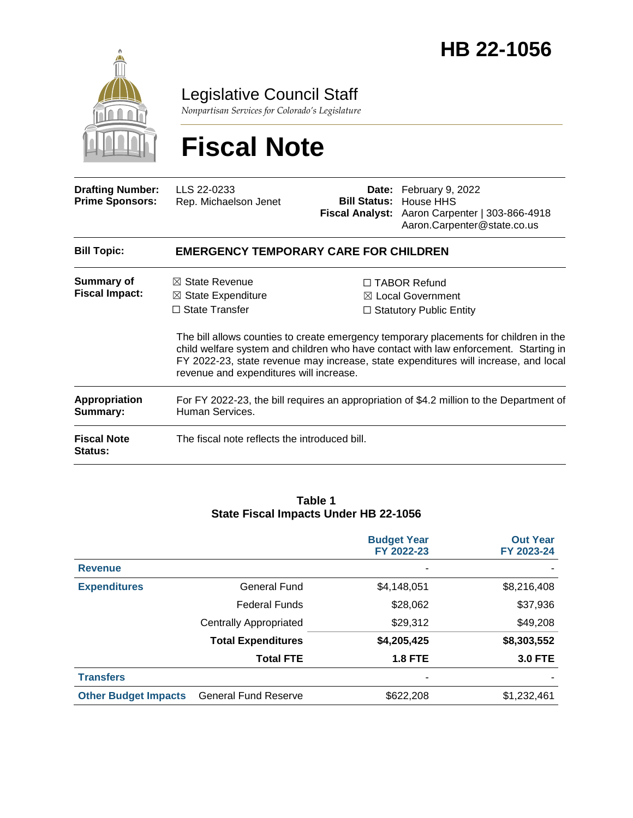

Legislative Council Staff

*Nonpartisan Services for Colorado's Legislature*

# **Fiscal Note**

| <b>Drafting Number:</b><br><b>Prime Sponsors:</b> | LLS 22-0233<br>Rep. Michaelson Jenet                                                                                           |  | <b>Date:</b> February 9, 2022<br><b>Bill Status: House HHS</b><br>Fiscal Analyst: Aaron Carpenter   303-866-4918<br>Aaron.Carpenter@state.co.us                                                                                                                                                                                                               |  |  |
|---------------------------------------------------|--------------------------------------------------------------------------------------------------------------------------------|--|---------------------------------------------------------------------------------------------------------------------------------------------------------------------------------------------------------------------------------------------------------------------------------------------------------------------------------------------------------------|--|--|
| <b>Bill Topic:</b>                                | <b>EMERGENCY TEMPORARY CARE FOR CHILDREN</b>                                                                                   |  |                                                                                                                                                                                                                                                                                                                                                               |  |  |
| Summary of<br><b>Fiscal Impact:</b>               | $\boxtimes$ State Revenue<br>$\boxtimes$ State Expenditure<br>$\Box$ State Transfer<br>revenue and expenditures will increase. |  | $\Box$ TABOR Refund<br>$\boxtimes$ Local Government<br>$\Box$ Statutory Public Entity<br>The bill allows counties to create emergency temporary placements for children in the<br>child welfare system and children who have contact with law enforcement. Starting in<br>FY 2022-23, state revenue may increase, state expenditures will increase, and local |  |  |
| Appropriation<br>Summary:                         | For FY 2022-23, the bill requires an appropriation of \$4.2 million to the Department of<br>Human Services.                    |  |                                                                                                                                                                                                                                                                                                                                                               |  |  |
| <b>Fiscal Note</b><br>Status:                     | The fiscal note reflects the introduced bill.                                                                                  |  |                                                                                                                                                                                                                                                                                                                                                               |  |  |

#### **Table 1 State Fiscal Impacts Under HB 22-1056**

|                             |                               | <b>Budget Year</b><br>FY 2022-23 | <b>Out Year</b><br>FY 2023-24 |
|-----------------------------|-------------------------------|----------------------------------|-------------------------------|
| <b>Revenue</b>              |                               | ۰                                |                               |
| <b>Expenditures</b>         | <b>General Fund</b>           | \$4,148,051                      | \$8,216,408                   |
|                             | <b>Federal Funds</b>          | \$28,062                         | \$37,936                      |
|                             | <b>Centrally Appropriated</b> | \$29,312                         | \$49,208                      |
|                             | <b>Total Expenditures</b>     | \$4,205,425                      | \$8,303,552                   |
|                             | <b>Total FTE</b>              | <b>1.8 FTE</b>                   | <b>3.0 FTE</b>                |
| <b>Transfers</b>            |                               |                                  |                               |
| <b>Other Budget Impacts</b> | <b>General Fund Reserve</b>   | \$622,208                        | \$1,232,461                   |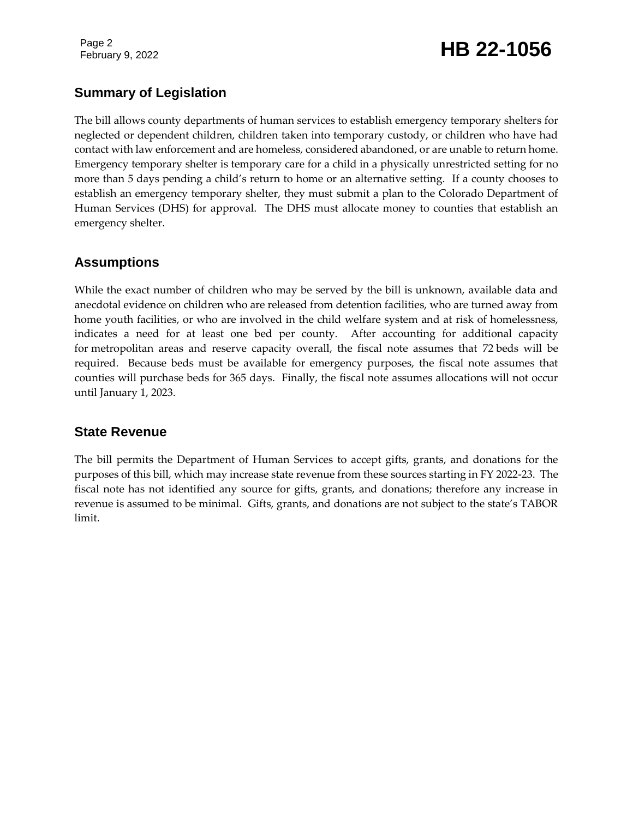Page 2

# February 9, 2022 **HB 22-1056**

### **Summary of Legislation**

The bill allows county departments of human services to establish emergency temporary shelters for neglected or dependent children, children taken into temporary custody, or children who have had contact with law enforcement and are homeless, considered abandoned, or are unable to return home. Emergency temporary shelter is temporary care for a child in a physically unrestricted setting for no more than 5 days pending a child's return to home or an alternative setting. If a county chooses to establish an emergency temporary shelter, they must submit a plan to the Colorado Department of Human Services (DHS) for approval. The DHS must allocate money to counties that establish an emergency shelter.

### **Assumptions**

While the exact number of children who may be served by the bill is unknown, available data and anecdotal evidence on children who are released from detention facilities, who are turned away from home youth facilities, or who are involved in the child welfare system and at risk of homelessness, indicates a need for at least one bed per county. After accounting for additional capacity for metropolitan areas and reserve capacity overall, the fiscal note assumes that 72 beds will be required. Because beds must be available for emergency purposes, the fiscal note assumes that counties will purchase beds for 365 days. Finally, the fiscal note assumes allocations will not occur until January 1, 2023.

### **State Revenue**

The bill permits the Department of Human Services to accept gifts, grants, and donations for the purposes of this bill, which may increase state revenue from these sources starting in FY 2022-23. The fiscal note has not identified any source for gifts, grants, and donations; therefore any increase in revenue is assumed to be minimal. Gifts, grants, and donations are not subject to the state's TABOR limit.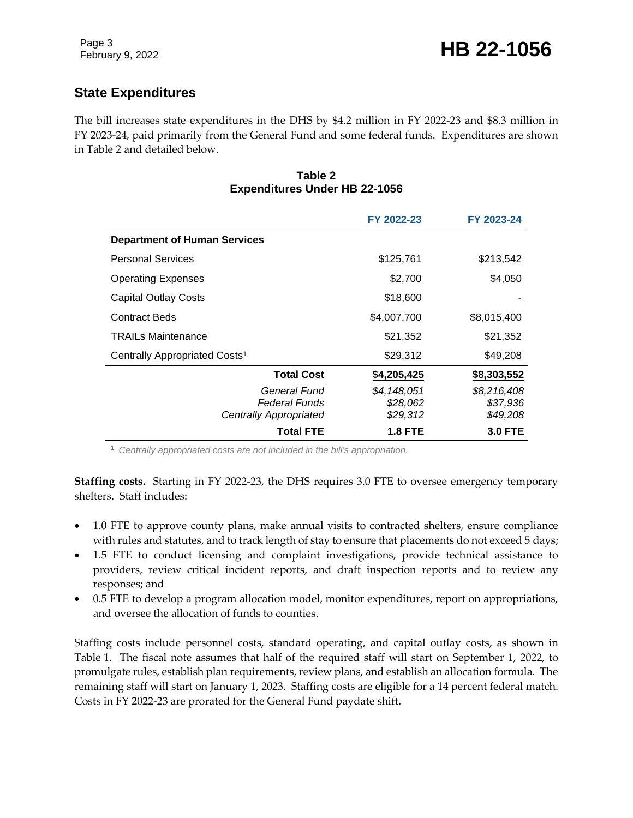### **State Expenditures**

The bill increases state expenditures in the DHS by \$4.2 million in FY 2022-23 and \$8.3 million in FY 2023-24, paid primarily from the General Fund and some federal funds. Expenditures are shown in Table 2 and detailed below.

#### **Table 2 Expenditures Under HB 22-1056**

|                                                         | FY 2022-23                          | FY 2023-24                          |
|---------------------------------------------------------|-------------------------------------|-------------------------------------|
| <b>Department of Human Services</b>                     |                                     |                                     |
| <b>Personal Services</b>                                | \$125,761                           | \$213,542                           |
| <b>Operating Expenses</b>                               | \$2,700                             | \$4,050                             |
| <b>Capital Outlay Costs</b>                             | \$18,600                            |                                     |
| <b>Contract Beds</b>                                    | \$4,007,700                         | \$8,015,400                         |
| <b>TRAILs Maintenance</b>                               | \$21,352                            | \$21,352                            |
| Centrally Appropriated Costs <sup>1</sup>               | \$29,312                            | \$49,208                            |
| <b>Total Cost</b>                                       | \$4,205,425                         | \$8,303,552                         |
| General Fund<br>Federal Funds<br>Centrally Appropriated | \$4.148.051<br>\$28,062<br>\$29,312 | \$8,216,408<br>\$37,936<br>\$49,208 |
| Total FTE                                               | <b>1.8 FTE</b>                      | <b>3.0 FTE</b>                      |

<sup>1</sup> *Centrally appropriated costs are not included in the bill's appropriation.*

**Staffing costs.** Starting in FY 2022-23, the DHS requires 3.0 FTE to oversee emergency temporary shelters. Staff includes:

- 1.0 FTE to approve county plans, make annual visits to contracted shelters, ensure compliance with rules and statutes, and to track length of stay to ensure that placements do not exceed 5 days;
- 1.5 FTE to conduct licensing and complaint investigations, provide technical assistance to providers, review critical incident reports, and draft inspection reports and to review any responses; and
- 0.5 FTE to develop a program allocation model, monitor expenditures, report on appropriations, and oversee the allocation of funds to counties.

Staffing costs include personnel costs, standard operating, and capital outlay costs, as shown in Table 1. The fiscal note assumes that half of the required staff will start on September 1, 2022, to promulgate rules, establish plan requirements, review plans, and establish an allocation formula. The remaining staff will start on January 1, 2023. Staffing costs are eligible for a 14 percent federal match. Costs in FY 2022-23 are prorated for the General Fund paydate shift.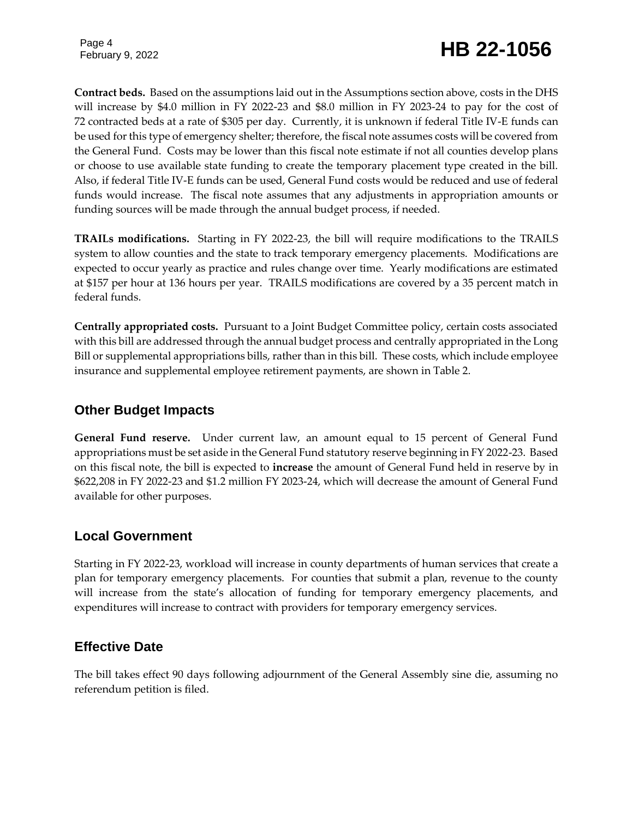Page 4

# February 9, 2022 **HB 22-1056**

**Contract beds.** Based on the assumptions laid out in the Assumptions section above, costs in the DHS will increase by \$4.0 million in FY 2022-23 and \$8.0 million in FY 2023-24 to pay for the cost of 72 contracted beds at a rate of \$305 per day. Currently, it is unknown if federal Title IV-E funds can be used for this type of emergency shelter; therefore, the fiscal note assumes costs will be covered from the General Fund. Costs may be lower than this fiscal note estimate if not all counties develop plans or choose to use available state funding to create the temporary placement type created in the bill. Also, if federal Title IV-E funds can be used, General Fund costs would be reduced and use of federal funds would increase. The fiscal note assumes that any adjustments in appropriation amounts or funding sources will be made through the annual budget process, if needed.

**TRAILs modifications.** Starting in FY 2022-23, the bill will require modifications to the TRAILS system to allow counties and the state to track temporary emergency placements. Modifications are expected to occur yearly as practice and rules change over time. Yearly modifications are estimated at \$157 per hour at 136 hours per year. TRAILS modifications are covered by a 35 percent match in federal funds.

**Centrally appropriated costs.** Pursuant to a Joint Budget Committee policy, certain costs associated with this bill are addressed through the annual budget process and centrally appropriated in the Long Bill or supplemental appropriations bills, rather than in this bill. These costs, which include employee insurance and supplemental employee retirement payments, are shown in Table 2.

### **Other Budget Impacts**

**General Fund reserve.** Under current law, an amount equal to 15 percent of General Fund appropriations must be set aside in the General Fund statutory reserve beginning in FY 2022-23. Based on this fiscal note, the bill is expected to **increase** the amount of General Fund held in reserve by in \$622,208 in FY 2022-23 and \$1.2 million FY 2023-24, which will decrease the amount of General Fund available for other purposes.

### **Local Government**

Starting in FY 2022-23, workload will increase in county departments of human services that create a plan for temporary emergency placements. For counties that submit a plan, revenue to the county will increase from the state's allocation of funding for temporary emergency placements, and expenditures will increase to contract with providers for temporary emergency services.

### **Effective Date**

The bill takes effect 90 days following adjournment of the General Assembly sine die, assuming no referendum petition is filed.